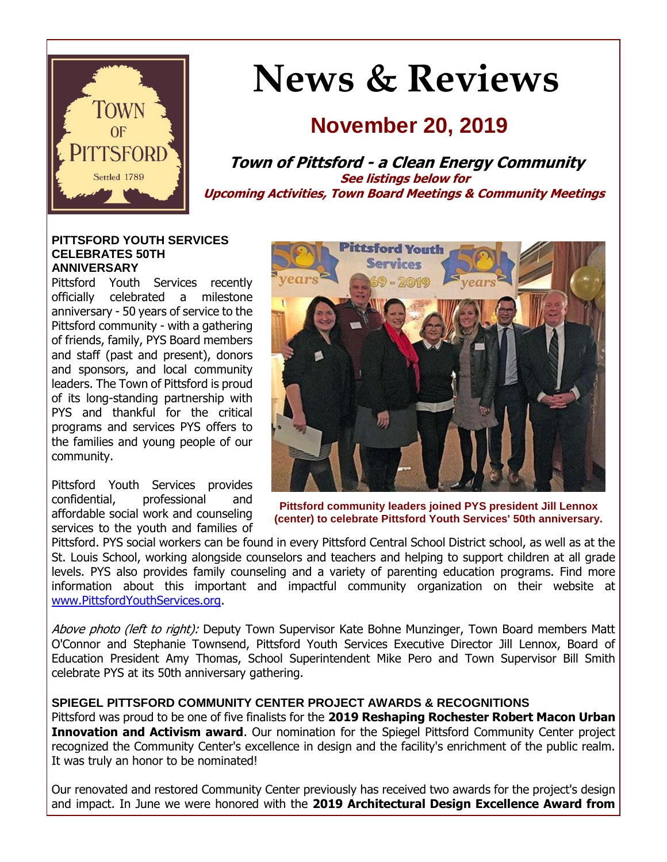

# **News & Reviews**

## **November 20, 2019**

**Town of Pittsford - a Clean Energy Community See listings below for Upcoming Activities, Town Board Meetings & Community Meetings**

#### **PITTSFORD YOUTH SERVICES CELEBRATES 50TH ANNIVERSARY**

Pittsford Youth Services recently officially celebrated a milestone anniversary - 50 years of service to the Pittsford community - with a gathering of friends, family, PYS Board members and staff (past and present), donors and sponsors, and local community leaders. The Town of Pittsford is proud of its long-standing partnership with PYS and thankful for the critical programs and services PYS offers to the families and young people of our community.

Pittsford Youth Services provides confidential, professional and affordable social work and counseling services to the youth and families of



**Pittsford community leaders joined PYS president Jill Lennox (center) to celebrate Pittsford Youth Services' 50th anniversary.**

Pittsford. PYS social workers can be found in every Pittsford Central School District school, as well as at the St. Louis School, working alongside counselors and teachers and helping to support children at all grade levels. PYS also provides family counseling and a variety of parenting education programs. Find more information about this important and impactful community organization on their website at [www.PittsfordYouthServices.org.](http://r20.rs6.net/tn.jsp?f=001FSkjzz5VMgheKiuQLKQDLprx9QAHLQzw6jR8DtaSSdYAj0EztVqJwe03Cv4dJEufdg4zQCCMezpyMOQrQrGxh7jYnAVFCsK7Rx5qW8tBkDiUNMlllemmorTxuq8inG41IsUViVHnMyNsEUOuRiObpFVZYAdWY_yBX1e2nu_7cVgG6mI4_DckMN5bdnx_9RmpovGqwzD-2KDhxbfQo_GwTmn_5tgzvAuOyvKPsF6ZTzkHHLlI2c94gOthIt4NKLfENq24lM8mGU9VSx8BEWeS7a1kg_Wdk0ChdecsWrUPheyXKm8N2iKv5A==&c=AM0DoFKYlQSmVqN5YWDf5LctVAC2dFnnZB8hEPGQsGe3-ZeFqQLPNA==&ch=hrIw9vA57DeTIxtU9w95BPUn9ld9f13d4xcn3YchHNeHFq0r5FjKZQ==)

Above photo (left to right): Deputy Town Supervisor Kate Bohne Munzinger, Town Board members Matt O'Connor and Stephanie Townsend, Pittsford Youth Services Executive Director Jill Lennox, Board of Education President Amy Thomas, School Superintendent Mike Pero and Town Supervisor Bill Smith celebrate PYS at its 50th anniversary gathering.

#### **SPIEGEL PITTSFORD COMMUNITY CENTER PROJECT AWARDS & RECOGNITIONS**

Pittsford was proud to be one of five finalists for the **2019 Reshaping Rochester Robert Macon Urban Innovation and Activism award**. Our nomination for the Spiegel Pittsford Community Center project recognized the Community Center's excellence in design and the facility's enrichment of the public realm. It was truly an honor to be nominated!

Our renovated and restored Community Center previously has received two awards for the project's design and impact. In June we were honored with the **2019 Architectural Design Excellence Award from**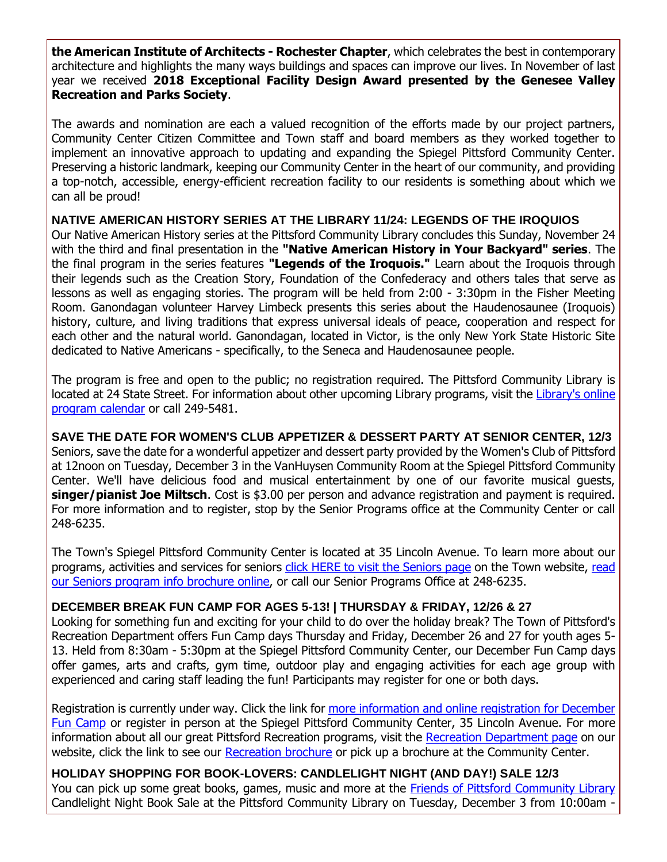**the American Institute of Architects - Rochester Chapter**, which celebrates the best in contemporary architecture and highlights the many ways buildings and spaces can improve our lives. In November of last year we received **2018 Exceptional Facility Design Award presented by the Genesee Valley Recreation and Parks Society**.

The awards and nomination are each a valued recognition of the efforts made by our project partners, Community Center Citizen Committee and Town staff and board members as they worked together to implement an innovative approach to updating and expanding the Spiegel Pittsford Community Center. Preserving a historic landmark, keeping our Community Center in the heart of our community, and providing a top-notch, accessible, energy-efficient recreation facility to our residents is something about which we can all be proud!

#### **NATIVE AMERICAN HISTORY SERIES AT THE LIBRARY 11/24: LEGENDS OF THE IROQUIOS**

Our Native American History series at the Pittsford Community Library concludes this Sunday, November 24 with the third and final presentation in the **"Native American History in Your Backyard" series**. The the final program in the series features **"Legends of the Iroquois."** Learn about the Iroquois through their legends such as the Creation Story, Foundation of the Confederacy and others tales that serve as lessons as well as engaging stories. The program will be held from 2:00 - 3:30pm in the Fisher Meeting Room. Ganondagan volunteer Harvey Limbeck presents this series about the Haudenosaunee (Iroquois) history, culture, and living traditions that express universal ideals of peace, cooperation and respect for each other and the natural world. Ganondagan, located in Victor, is the only New York State Historic Site dedicated to Native Americans - specifically, to the Seneca and Haudenosaunee people.

The program is free and open to the public; no registration required. The Pittsford Community Library is located at 24 State Street. For information about other upcoming Library programs, visit the [Library's online](http://r20.rs6.net/tn.jsp?f=001FSkjzz5VMgheKiuQLKQDLprx9QAHLQzw6jR8DtaSSdYAj0EztVqJwZpVaSqD1UIJJdWQ6mRaQTOcm7G30-YDZXs2DWPp2ZOk1owjiz8zPWLw1zzgUmzRqiYrH7j-yvFUQSiLgAxqqSFCAA5bh0L9mA2pjy38XYpPiJrGJgJMq_kr7d0DbVX5mKBPc2wBKXiYaw0Z6-m2D8fIIs5iTtzAuo3-E4c6jom9d1D02xjXIZXc1PcV_7o4m3nlqtJUyQmkt0r79wyR9tt43apCheKN7rJEnbwnY9OoIzl74UBgzYQwpvn6HPk4rPn58RVacSEY-QEBS0NOVXlgJ_snlNJADWd2oDEPEqWsxdHW9X-h9O8azhQNS8C0FEtcPQY5CbmeMEVPvim3kLGRcAgY0cxHJuXTBcY8F_Uy&c=AM0DoFKYlQSmVqN5YWDf5LctVAC2dFnnZB8hEPGQsGe3-ZeFqQLPNA==&ch=hrIw9vA57DeTIxtU9w95BPUn9ld9f13d4xcn3YchHNeHFq0r5FjKZQ==)  [program calendar](http://r20.rs6.net/tn.jsp?f=001FSkjzz5VMgheKiuQLKQDLprx9QAHLQzw6jR8DtaSSdYAj0EztVqJwZpVaSqD1UIJJdWQ6mRaQTOcm7G30-YDZXs2DWPp2ZOk1owjiz8zPWLw1zzgUmzRqiYrH7j-yvFUQSiLgAxqqSFCAA5bh0L9mA2pjy38XYpPiJrGJgJMq_kr7d0DbVX5mKBPc2wBKXiYaw0Z6-m2D8fIIs5iTtzAuo3-E4c6jom9d1D02xjXIZXc1PcV_7o4m3nlqtJUyQmkt0r79wyR9tt43apCheKN7rJEnbwnY9OoIzl74UBgzYQwpvn6HPk4rPn58RVacSEY-QEBS0NOVXlgJ_snlNJADWd2oDEPEqWsxdHW9X-h9O8azhQNS8C0FEtcPQY5CbmeMEVPvim3kLGRcAgY0cxHJuXTBcY8F_Uy&c=AM0DoFKYlQSmVqN5YWDf5LctVAC2dFnnZB8hEPGQsGe3-ZeFqQLPNA==&ch=hrIw9vA57DeTIxtU9w95BPUn9ld9f13d4xcn3YchHNeHFq0r5FjKZQ==) or call 249-5481.

**SAVE THE DATE FOR WOMEN'S CLUB APPETIZER & DESSERT PARTY AT SENIOR CENTER, 12/3** Seniors, save the date for a wonderful appetizer and dessert party provided by the Women's Club of Pittsford at 12noon on Tuesday, December 3 in the VanHuysen Community Room at the Spiegel Pittsford Community Center. We'll have delicious food and musical entertainment by one of our favorite musical guests, **singer/pianist Joe Miltsch**. Cost is \$3.00 per person and advance registration and payment is required. For more information and to register, stop by the Senior Programs office at the Community Center or call 248-6235.

The Town's Spiegel Pittsford Community Center is located at 35 Lincoln Avenue. To learn more about our programs, activities and services for seniors [click HERE to visit the Seniors](http://www.townofpittsford.org/home-seniors?utm_source=eNews+11-20-19&utm_campaign=eNews+11-20-19&utm_medium=email) page on the Town website, [read](http://r20.rs6.net/tn.jsp?f=001FSkjzz5VMgheKiuQLKQDLprx9QAHLQzw6jR8DtaSSdYAj0EztVqJwZ4PySoZLmSKJgm1x_7iBYGJI7ZHWaVZY2P1LTCEJicuAqqU5SglVvzfz-tDLGWeCFRg-owt8x_l2udBX3zZNYr2YagGhS5QtNjrgH6AKXqJgL6Vd_URnuq2Ypr-KuQgVOvinvpFyovrSPfMSNlGkO7GBwsNKV5I95MgybKunicsxs47MjGxPB21jhVfnVwsN8MLuZkz_MFEZP3e1Gq2WCuAKTFs1kT89axyes5TOAoFq8LcwNgq-cFRHnU44psum4Xi3UjurgppWXsy1ULg639Cd7l5R9YJQhRW0BldZ7dP6_bBFbFesBIgKtKXkVH2YQ==&c=AM0DoFKYlQSmVqN5YWDf5LctVAC2dFnnZB8hEPGQsGe3-ZeFqQLPNA==&ch=hrIw9vA57DeTIxtU9w95BPUn9ld9f13d4xcn3YchHNeHFq0r5FjKZQ==)  [our Seniors program info brochure online,](http://r20.rs6.net/tn.jsp?f=001FSkjzz5VMgheKiuQLKQDLprx9QAHLQzw6jR8DtaSSdYAj0EztVqJwZ4PySoZLmSKJgm1x_7iBYGJI7ZHWaVZY2P1LTCEJicuAqqU5SglVvzfz-tDLGWeCFRg-owt8x_l2udBX3zZNYr2YagGhS5QtNjrgH6AKXqJgL6Vd_URnuq2Ypr-KuQgVOvinvpFyovrSPfMSNlGkO7GBwsNKV5I95MgybKunicsxs47MjGxPB21jhVfnVwsN8MLuZkz_MFEZP3e1Gq2WCuAKTFs1kT89axyes5TOAoFq8LcwNgq-cFRHnU44psum4Xi3UjurgppWXsy1ULg639Cd7l5R9YJQhRW0BldZ7dP6_bBFbFesBIgKtKXkVH2YQ==&c=AM0DoFKYlQSmVqN5YWDf5LctVAC2dFnnZB8hEPGQsGe3-ZeFqQLPNA==&ch=hrIw9vA57DeTIxtU9w95BPUn9ld9f13d4xcn3YchHNeHFq0r5FjKZQ==) or call our Senior Programs Office at 248-6235.

#### **DECEMBER BREAK FUN CAMP FOR AGES 5-13! | THURSDAY & FRIDAY, 12/26 & 27**

Looking for something fun and exciting for your child to do over the holiday break? The Town of Pittsford's Recreation Department offers Fun Camp days Thursday and Friday, December 26 and 27 for youth ages 5- 13. Held from 8:30am - 5:30pm at the Spiegel Pittsford Community Center, our December Fun Camp days offer games, arts and crafts, gym time, outdoor play and engaging activities for each age group with experienced and caring staff leading the fun! Participants may register for one or both days.

Registration is currently under way. Click the link for [more information and online registration for December](http://r20.rs6.net/tn.jsp?f=001FSkjzz5VMgheKiuQLKQDLprx9QAHLQzw6jR8DtaSSdYAj0EztVqJwXJE7tGQ9fF16EboV_fQZaa3C2SMzrouBWszLdsFYss-2dVpd9noXG_DQo5E6W_icVhMCMwXQMGiYpNAK87uC30LInqoG-qu6BhJSd6o09FgOdMiKDKbndPSZI547LEAcGctVN7NDWKFgdiuoBwJLK99-nzpexffacr4TFxb2HsMmEZjmEE9er-xMHm0niKXoT5yU7pVdljASJmtGPV6JWIIFWZ1HBfCv3GC3TC3nR-bWYE94o8kBim1XwRa20cCNalSu2yRywpX-wwFIt1b6ykYlgTbNipldQj4o3dGE-vWdWGng8TCzXAx2urYflAw6_c9wuUo8P2DdmB6DbjiptOWJZMOfyz5ZPW-UVMl5NCp&c=AM0DoFKYlQSmVqN5YWDf5LctVAC2dFnnZB8hEPGQsGe3-ZeFqQLPNA==&ch=hrIw9vA57DeTIxtU9w95BPUn9ld9f13d4xcn3YchHNeHFq0r5FjKZQ==)  [Fun Camp](http://r20.rs6.net/tn.jsp?f=001FSkjzz5VMgheKiuQLKQDLprx9QAHLQzw6jR8DtaSSdYAj0EztVqJwXJE7tGQ9fF16EboV_fQZaa3C2SMzrouBWszLdsFYss-2dVpd9noXG_DQo5E6W_icVhMCMwXQMGiYpNAK87uC30LInqoG-qu6BhJSd6o09FgOdMiKDKbndPSZI547LEAcGctVN7NDWKFgdiuoBwJLK99-nzpexffacr4TFxb2HsMmEZjmEE9er-xMHm0niKXoT5yU7pVdljASJmtGPV6JWIIFWZ1HBfCv3GC3TC3nR-bWYE94o8kBim1XwRa20cCNalSu2yRywpX-wwFIt1b6ykYlgTbNipldQj4o3dGE-vWdWGng8TCzXAx2urYflAw6_c9wuUo8P2DdmB6DbjiptOWJZMOfyz5ZPW-UVMl5NCp&c=AM0DoFKYlQSmVqN5YWDf5LctVAC2dFnnZB8hEPGQsGe3-ZeFqQLPNA==&ch=hrIw9vA57DeTIxtU9w95BPUn9ld9f13d4xcn3YchHNeHFq0r5FjKZQ==) or register in person at the Spiegel Pittsford Community Center, 35 Lincoln Avenue. For more information about all our great Pittsford Recreation programs, visit the [Recreation Department page](http://r20.rs6.net/tn.jsp?f=001FSkjzz5VMgheKiuQLKQDLprx9QAHLQzw6jR8DtaSSdYAj0EztVqJwc3GSBxvd1ptukaR6sSwbKi9TRY1vBuuHrUvhyTmpMII47bYQx9AKnN-Mcr-ZjywhXizFP1-7HARg7CYaF0Ct215wKCG67Vg0hlNcwkjT-ILK7KMPBfkftBNNfPicAyP68DTqMlp7XQv2ai7KNAR5SdOzSFBw63Z-3uBy0dJeXq6qDwE9YLhNDBOoJYc8GcP0bZ6_3sHf6mXZ9JxPY9U3sIfSNrbMYbgo3QnzPmTWNQeg2oNrPKGds0-8Fe8d-NlAQ==&c=AM0DoFKYlQSmVqN5YWDf5LctVAC2dFnnZB8hEPGQsGe3-ZeFqQLPNA==&ch=hrIw9vA57DeTIxtU9w95BPUn9ld9f13d4xcn3YchHNeHFq0r5FjKZQ==) on our website, click the link to see our [Recreation brochure](http://r20.rs6.net/tn.jsp?f=001FSkjzz5VMgheKiuQLKQDLprx9QAHLQzw6jR8DtaSSdYAj0EztVqJwc3GSBxvd1ptukaR6sSwbKi9TRY1vBuuHrUvhyTmpMII47bYQx9AKnN-Mcr-ZjywhXizFP1-7HARg7CYaF0Ct215wKCG67Vg0hlNcwkjT-ILK7KMPBfkftBNNfPicAyP68DTqMlp7XQv2ai7KNAR5SdOzSFBw63Z-3uBy0dJeXq6qDwE9YLhNDBOoJYc8GcP0bZ6_3sHf6mXZ9JxPY9U3sIfSNrbMYbgo3QnzPmTWNQeg2oNrPKGds0-8Fe8d-NlAQ==&c=AM0DoFKYlQSmVqN5YWDf5LctVAC2dFnnZB8hEPGQsGe3-ZeFqQLPNA==&ch=hrIw9vA57DeTIxtU9w95BPUn9ld9f13d4xcn3YchHNeHFq0r5FjKZQ==) or pick up a brochure at the Community Center.

**HOLIDAY SHOPPING FOR BOOK-LOVERS: CANDLELIGHT NIGHT (AND DAY!) SALE 12/3**  You can pick up some great books, games, music and more at the [Friends of Pittsford Community Library](http://r20.rs6.net/tn.jsp?f=001FSkjzz5VMgheKiuQLKQDLprx9QAHLQzw6jR8DtaSSdYAj0EztVqJwZnzLd8rit1o1BEoweYLs5rzGIC33hRjzTgYNWufpRq3Gc1Fb9NbMYsZzvXFVOQarIxxuhh74Hx7PVocsLx0mG0GQ9uUqC9JkAC3QO3mxSDMJ46lwfadZUN_CLAaCTFLmmlu65Sdz1nV_KO4OqDVW2nW0Di0vsV-TRzP_x-E7bJSbk31J_3vhLRMSMk6ISsrqZruC46JtTfWohkMFz8-GJafv0dJMa7m3H1lNM9I4WyInhTZhT1s6-2URp5K4WSuLaOAd9Q3fZQM&c=AM0DoFKYlQSmVqN5YWDf5LctVAC2dFnnZB8hEPGQsGe3-ZeFqQLPNA==&ch=hrIw9vA57DeTIxtU9w95BPUn9ld9f13d4xcn3YchHNeHFq0r5FjKZQ==) Candlelight Night Book Sale at the Pittsford Community Library on Tuesday, December 3 from 10:00am -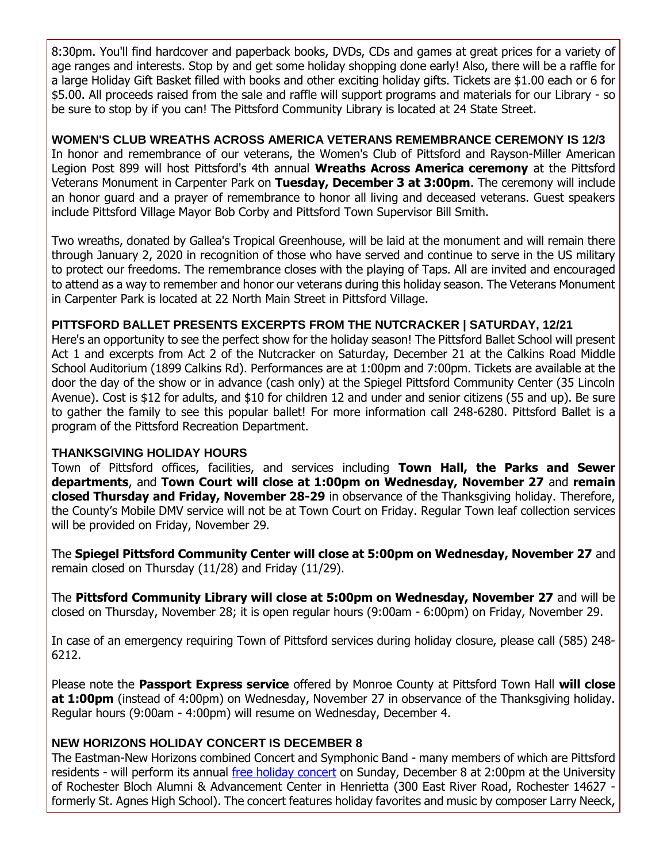8:30pm. You'll find hardcover and paperback books, DVDs, CDs and games at great prices for a variety of age ranges and interests. Stop by and get some holiday shopping done early! Also, there will be a raffle for a large Holiday Gift Basket filled with books and other exciting holiday gifts. Tickets are \$1.00 each or 6 for \$5.00. All proceeds raised from the sale and raffle will support programs and materials for our Library - so be sure to stop by if you can! The Pittsford Community Library is located at 24 State Street.

#### **WOMEN'S CLUB WREATHS ACROSS AMERICA VETERANS REMEMBRANCE CEREMONY IS 12/3**

In honor and remembrance of our veterans, the Women's Club of Pittsford and Rayson-Miller American Legion Post 899 will host Pittsford's 4th annual **Wreaths Across America ceremony** at the Pittsford Veterans Monument in Carpenter Park on **Tuesday, December 3 at 3:00pm**. The ceremony will include an honor guard and a prayer of remembrance to honor all living and deceased veterans. Guest speakers include Pittsford Village Mayor Bob Corby and Pittsford Town Supervisor Bill Smith.

Two wreaths, donated by Gallea's Tropical Greenhouse, will be laid at the monument and will remain there through January 2, 2020 in recognition of those who have served and continue to serve in the US military to protect our freedoms. The remembrance closes with the playing of Taps. All are invited and encouraged to attend as a way to remember and honor our veterans during this holiday season. The Veterans Monument in Carpenter Park is located at 22 North Main Street in Pittsford Village.

#### **PITTSFORD BALLET PRESENTS EXCERPTS FROM THE NUTCRACKER | SATURDAY, 12/21**

Here's an opportunity to see the perfect show for the holiday season! The Pittsford Ballet School will present Act 1 and excerpts from Act 2 of the Nutcracker on Saturday, December 21 at the Calkins Road Middle School Auditorium (1899 Calkins Rd). Performances are at 1:00pm and 7:00pm. Tickets are available at the door the day of the show or in advance (cash only) at the Spiegel Pittsford Community Center (35 Lincoln Avenue). Cost is \$12 for adults, and \$10 for children 12 and under and senior citizens (55 and up). Be sure to gather the family to see this popular ballet! For more information call 248-6280. Pittsford Ballet is a program of the Pittsford Recreation Department.

#### **THANKSGIVING HOLIDAY HOURS**

Town of Pittsford offices, facilities, and services including **Town Hall, the Parks and Sewer departments**, and **Town Court will close at 1:00pm on Wednesday, November 27** and **remain closed Thursday and Friday, November 28-29** in observance of the Thanksgiving holiday. Therefore, the County's Mobile DMV service will not be at Town Court on Friday. Regular Town leaf collection services will be provided on Friday, November 29.

The **Spiegel Pittsford Community Center will close at 5:00pm on Wednesday, November 27** and remain closed on Thursday (11/28) and Friday (11/29).

The **Pittsford Community Library will close at 5:00pm on Wednesday, November 27** and will be closed on Thursday, November 28; it is open regular hours (9:00am - 6:00pm) on Friday, November 29.

In case of an emergency requiring Town of Pittsford services during holiday closure, please call (585) 248- 6212.

Please note the **Passport Express service** offered by Monroe County at Pittsford Town Hall **will close at 1:00pm** (instead of 4:00pm) on Wednesday, November 27 in observance of the Thanksgiving holiday. Regular hours (9:00am - 4:00pm) will resume on Wednesday, December 4.

#### **NEW HORIZONS HOLIDAY CONCERT IS DECEMBER 8**

The Eastman-New Horizons combined Concert and Symphonic Band - many members of which are Pittsford residents - will perform its annual [free holiday concert](http://r20.rs6.net/tn.jsp?f=001FSkjzz5VMgheKiuQLKQDLprx9QAHLQzw6jR8DtaSSdYAj0EztVqJwfgioHyz0catdzI_rICsZYivOjV0swAIt2B_w7RwoGCu5rKibjR8Ig7oxJlwn7juXDsTsIyQ3lbRnwLZogzo7PVGKZNn7DjvjOQhZk26kvd097jlo-ZVDidqhp4yqfTlmbWBHw_9j4xGxKUL081gNL-m97KCMWNLqSZ-AKydt4KrZZAddB9KPflbuVzNNIY-rzi4zJOQbcokoQqVuU4SrxEqThKl2OfRN_w2We8uenGiJFMl5t6rAew=&c=AM0DoFKYlQSmVqN5YWDf5LctVAC2dFnnZB8hEPGQsGe3-ZeFqQLPNA==&ch=hrIw9vA57DeTIxtU9w95BPUn9ld9f13d4xcn3YchHNeHFq0r5FjKZQ==) on Sunday, December 8 at 2:00pm at the University of Rochester Bloch Alumni & Advancement Center in Henrietta (300 East River Road, Rochester 14627 formerly St. Agnes High School). The concert features holiday favorites and music by composer Larry Neeck,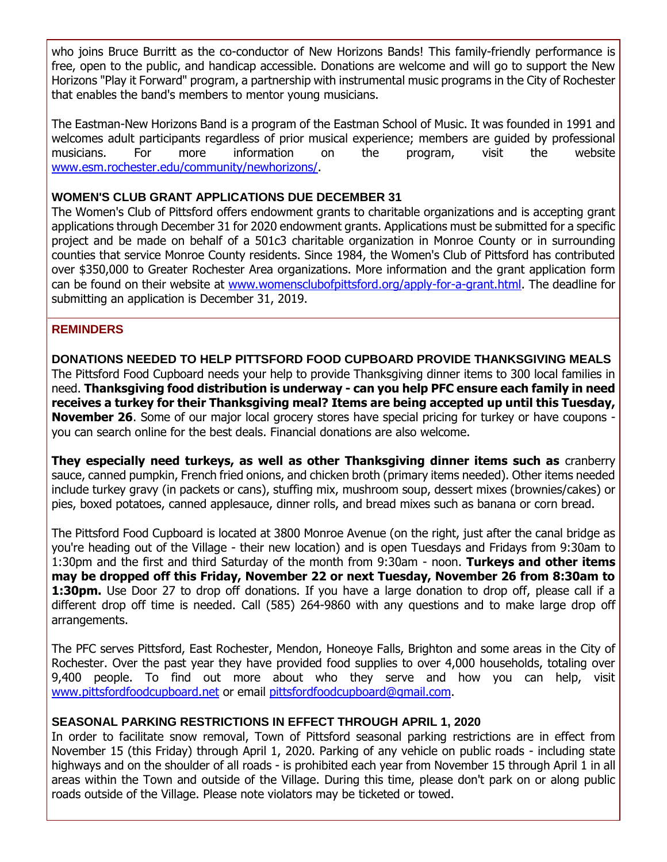who joins Bruce Burritt as the co-conductor of New Horizons Bands! This family-friendly performance is free, open to the public, and handicap accessible. Donations are welcome and will go to support the New Horizons "Play it Forward" program, a partnership with instrumental music programs in the City of Rochester that enables the band's members to mentor young musicians.

The Eastman-New Horizons Band is a program of the Eastman School of Music. It was founded in 1991 and welcomes adult participants regardless of prior musical experience; members are guided by professional musicians. For more information on the program, visit the website [www.esm.rochester.edu/community/newhorizons/.](http://r20.rs6.net/tn.jsp?f=001FSkjzz5VMgheKiuQLKQDLprx9QAHLQzw6jR8DtaSSdYAj0EztVqJwQC1HzAivDIL9-Sh0wxwfYkQakG_QZ9l2WsvvKIqdHVyOaZuC7y51Hjb93WyFz915_CdMI4dEBVXW0NCqGbEZpw4Vg2LBO06Kq20XmtqsEo632kO5KKxMPzNTJmGYSR75l0uLOg-R6OAv3zdp5QfvMDBCeC1b2USQI7cpXQtmYZI3ZYTFDAFseQXNDFyyKJw5_T4-QAf48bYMUeMVTF0NVI5jgR8dfaZjD56HfJeZECYS-mUYPfyi7EneQMKKZHzARcmfYcFnKV11eZZM3uv0Zs=&c=AM0DoFKYlQSmVqN5YWDf5LctVAC2dFnnZB8hEPGQsGe3-ZeFqQLPNA==&ch=hrIw9vA57DeTIxtU9w95BPUn9ld9f13d4xcn3YchHNeHFq0r5FjKZQ==)

#### **WOMEN'S CLUB GRANT APPLICATIONS DUE DECEMBER 31**

The Women's Club of Pittsford offers endowment grants to charitable organizations and is accepting grant applications through December 31 for 2020 endowment grants. Applications must be submitted for a specific project and be made on behalf of a 501c3 charitable organization in Monroe County or in surrounding counties that service Monroe County residents. Since 1984, the Women's Club of Pittsford has contributed over \$350,000 to Greater Rochester Area organizations. More information and the grant application form can be found on their website at [www.womensclubofpittsford.org/apply-for-a-grant.html.](http://r20.rs6.net/tn.jsp?f=001FSkjzz5VMgheKiuQLKQDLprx9QAHLQzw6jR8DtaSSdYAj0EztVqJwWJOUAC8qROkBi_JV1HHiiE-S29JCgszbVxmsnjvgIsmku7NFZYZXkugWSzotMmi6TyFwLrHhobVzBu5bpWrPXBi5QWMRNfyomJ5sfEyQ-Uwy0pEu9pFC_E32_Q94zTjrqcH2UEGhSdpAuU1EPRPtNOcG-eojhyRMaNC5LfTRJnX8pLFmkKeNMvjTh3sSqZPcSBATdbXx0ZQ0G3veM7oroVN7Yo6xVEdmPw0r11eZV1VDWQ3v1lZZvafEVpXdjT_Ul9DL3OiXljSgJnGxolpoPp7qlpNp1E5yg==&c=AM0DoFKYlQSmVqN5YWDf5LctVAC2dFnnZB8hEPGQsGe3-ZeFqQLPNA==&ch=hrIw9vA57DeTIxtU9w95BPUn9ld9f13d4xcn3YchHNeHFq0r5FjKZQ==) The deadline for submitting an application is December 31, 2019.

#### **REMINDERS**

**DONATIONS NEEDED TO HELP PITTSFORD FOOD CUPBOARD PROVIDE THANKSGIVING MEALS** The Pittsford Food Cupboard needs your help to provide Thanksgiving dinner items to 300 local families in need. **Thanksgiving food distribution is underway - can you help PFC ensure each family in need receives a turkey for their Thanksgiving meal? Items are being accepted up until this Tuesday, November 26**. Some of our major local grocery stores have special pricing for turkey or have coupons you can search online for the best deals. Financial donations are also welcome.

**They especially need turkeys, as well as other Thanksgiving dinner items such as** cranberry sauce, canned pumpkin, French fried onions, and chicken broth (primary items needed). Other items needed include turkey gravy (in packets or cans), stuffing mix, mushroom soup, dessert mixes (brownies/cakes) or pies, boxed potatoes, canned applesauce, dinner rolls, and bread mixes such as banana or corn bread.

The Pittsford Food Cupboard is located at 3800 Monroe Avenue (on the right, just after the canal bridge as you're heading out of the Village - their new location) and is open Tuesdays and Fridays from 9:30am to 1:30pm and the first and third Saturday of the month from 9:30am - noon. **Turkeys and other items may be dropped off this Friday, November 22 or next Tuesday, November 26 from 8:30am to 1:30pm.** Use Door 27 to drop off donations. If you have a large donation to drop off, please call if a different drop off time is needed. Call (585) 264-9860 with any questions and to make large drop off arrangements.

The PFC serves Pittsford, East Rochester, Mendon, Honeoye Falls, Brighton and some areas in the City of Rochester. Over the past year they have provided food supplies to over 4,000 households, totaling over 9,400 people. To find out more about who they serve and how you can help, visit [www.pittsfordfoodcupboard.net](http://r20.rs6.net/tn.jsp?f=001FSkjzz5VMgheKiuQLKQDLprx9QAHLQzw6jR8DtaSSdYAj0EztVqJwV8Oiva4NMAS2KwsaRs_QndZS694LnNE_y3-87M2_rGmzQzOAYt7GK8MYh_EIlkh0NrOO6kv0G2B11jQz0tS7PpvlXVgzzeTLxkRuOHWMAWiC_GtbIH9ZI3ZDa3tpPihe69lcqKRCd1akXc4H2V9Xbsky1dyWsUN_7oGX0xdk3dsScgtNk20EQUFsd9dWn-nq-GexrEvw0UqihOXzbKgEvJhYbVRbrMC2cNaJtq_HZn9_PKkLttueA3Q3OL8OpAXbw==&c=AM0DoFKYlQSmVqN5YWDf5LctVAC2dFnnZB8hEPGQsGe3-ZeFqQLPNA==&ch=hrIw9vA57DeTIxtU9w95BPUn9ld9f13d4xcn3YchHNeHFq0r5FjKZQ==) or email [pittsfordfoodcupboard@gmail.com.](mailto:pittfoodcup14534@gmail.com?subject=Thanksgiving%20meal%20donations)

#### **SEASONAL PARKING RESTRICTIONS IN EFFECT THROUGH APRIL 1, 2020**

In order to facilitate snow removal, Town of Pittsford seasonal parking restrictions are in effect from November 15 (this Friday) through April 1, 2020. Parking of any vehicle on public roads - including state highways and on the shoulder of all roads - is prohibited each year from November 15 through April 1 in all areas within the Town and outside of the Village. During this time, please don't park on or along public roads outside of the Village. Please note violators may be ticketed or towed.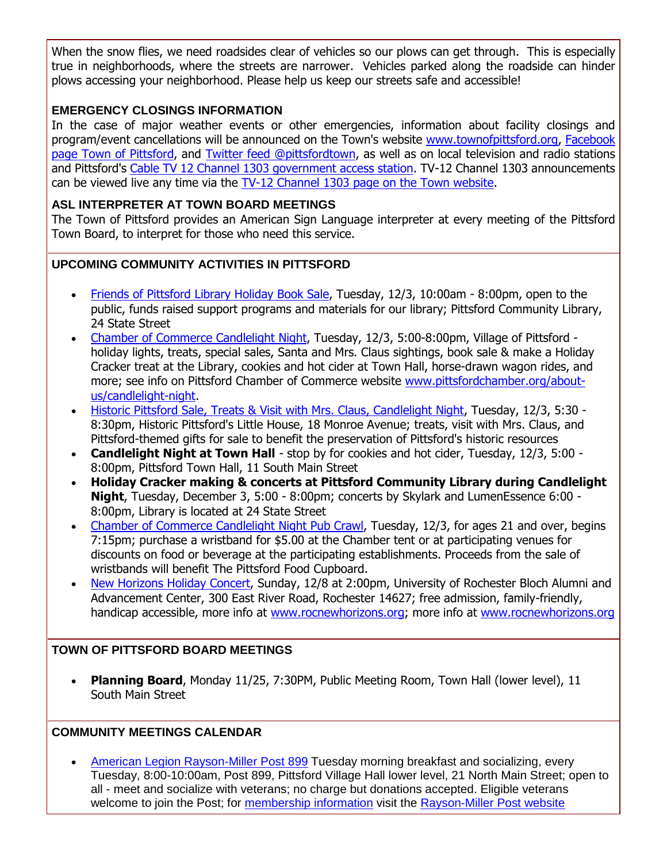When the snow flies, we need roadsides clear of vehicles so our plows can get through. This is especially true in neighborhoods, where the streets are narrower. Vehicles parked along the roadside can hinder plows accessing your neighborhood. Please help us keep our streets safe and accessible!

#### **EMERGENCY CLOSINGS INFORMATION**

In the case of major weather events or other emergencies, information about facility closings and program/event cancellations will be announced on the Town's website [www.townofpittsford.org,](http://townofpittsford.org/?utm_source=eNews+11-20-19&utm_campaign=eNews+11-20-19&utm_medium=email) [Facebook](https://www.facebook.com/pages/Town-of-Pittsford/139082619464200)  [page Town of Pittsford,](https://www.facebook.com/pages/Town-of-Pittsford/139082619464200) and [Twitter feed @pittsfordtown,](http://r20.rs6.net/tn.jsp?f=001FSkjzz5VMgheKiuQLKQDLprx9QAHLQzw6jR8DtaSSdYAj0EztVqJwd4FGG4cM5bJ8FEl4C1r2ghTsJRKq6NzhoFBMmUImcDoQAQIHAT4Q5DHYpmSKEvEa1inXcCeESB2O4YJBygwmKa30xXmMadKWZsBwlm_-WASXO-SE5eGPdzdC0CnoEGUUg==&c=AM0DoFKYlQSmVqN5YWDf5LctVAC2dFnnZB8hEPGQsGe3-ZeFqQLPNA==&ch=hrIw9vA57DeTIxtU9w95BPUn9ld9f13d4xcn3YchHNeHFq0r5FjKZQ==) as well as on local television and radio stations and Pittsford's [Cable TV 12 Channel 1303 government access station.](http://townofpittsford.org/home-channel12?utm_source=eNews+11-20-19&utm_campaign=eNews+11-20-19&utm_medium=email) TV-12 Channel 1303 announcements can be viewed live any time via the [TV-12 Channel 1303 page on the Town website.](http://townofpittsford.org/home-channel12?utm_source=eNews+11-20-19&utm_campaign=eNews+11-20-19&utm_medium=email)

#### **ASL INTERPRETER AT TOWN BOARD MEETINGS**

The Town of Pittsford provides an American Sign Language interpreter at every meeting of the Pittsford Town Board, to interpret for those who need this service.

#### **UPCOMING COMMUNITY ACTIVITIES IN PITTSFORD**

- [Friends of Pittsford Library Holiday Book Sale,](http://r20.rs6.net/tn.jsp?f=001FSkjzz5VMgheKiuQLKQDLprx9QAHLQzw6jR8DtaSSdYAj0EztVqJwZnzLd8rit1o1BEoweYLs5rzGIC33hRjzTgYNWufpRq3Gc1Fb9NbMYsZzvXFVOQarIxxuhh74Hx7PVocsLx0mG0GQ9uUqC9JkAC3QO3mxSDMJ46lwfadZUN_CLAaCTFLmmlu65Sdz1nV_KO4OqDVW2nW0Di0vsV-TRzP_x-E7bJSbk31J_3vhLRMSMk6ISsrqZruC46JtTfWohkMFz8-GJafv0dJMa7m3H1lNM9I4WyInhTZhT1s6-2URp5K4WSuLaOAd9Q3fZQM&c=AM0DoFKYlQSmVqN5YWDf5LctVAC2dFnnZB8hEPGQsGe3-ZeFqQLPNA==&ch=hrIw9vA57DeTIxtU9w95BPUn9ld9f13d4xcn3YchHNeHFq0r5FjKZQ==) Tuesday, 12/3, 10:00am 8:00pm, open to the public, funds raised support programs and materials for our library; Pittsford Community Library, 24 State Street
- [Chamber of Commerce Candlelight Night,](http://r20.rs6.net/tn.jsp?f=001FSkjzz5VMgheKiuQLKQDLprx9QAHLQzw6jR8DtaSSdYAj0EztVqJwaKdVM7R_0LuKkOWV6gFeqADhQxkDqfc7QvATlaVazbNuMUtmUSCxgHCHNA4ruNEHUiI1xFQzjA3erMiR9dE5aHlhgDUXjVDxxRCkq75YISjBwf9LaRl12DTjfzvTyDQAwdCykqz2iBGsR0ZBMeElQze3cxn0ANTd3nU0Tun8tV7LHcAAeZTgIiaQWdrq6QH4B-S5I81MlIaJD2AwYfsKp152FDded4-GHPrtk93PHbLX0URewT6tn83yw7QJySbeOmyd4Lmnw0r-PB_uMwxku5Ibsk_e9D3Ww==&c=AM0DoFKYlQSmVqN5YWDf5LctVAC2dFnnZB8hEPGQsGe3-ZeFqQLPNA==&ch=hrIw9vA57DeTIxtU9w95BPUn9ld9f13d4xcn3YchHNeHFq0r5FjKZQ==) Tuesday, 12/3, 5:00-8:00pm, Village of Pittsford holiday lights, treats, special sales, Santa and Mrs. Claus sightings, book sale & make a Holiday Cracker treat at the Library, cookies and hot cider at Town Hall, horse-drawn wagon rides, and more; see info on Pittsford Chamber of Commerce website [www.pittsfordchamber.org/about](http://r20.rs6.net/tn.jsp?f=001FSkjzz5VMgheKiuQLKQDLprx9QAHLQzw6jR8DtaSSdYAj0EztVqJwSGRMCDrasZJq7gtBvGIlX98cvInuSf0Guv7iBhk1rzrpeN5r1m2fXXhqJlOuUwtLVd4eeBXPJC06aVN30gtWGDpBh8zDBZm9vgqMfxn502DI_iuv65ha7LkKXBy_C-T7HMNwQKdGYNye1wsU4V-pG9GZU_ueM4p0v95vGrcWIz6xjEbu3Je0iZNJ57v2bWJkQfw3w3XXWNADw5J9zipgRbY4WC_Dkm_jZfQVtIUTpCEG_R18rVLnFlR9vqpkI-4STsJaaRxC4D79zFFnU6XY82c4kRoapM8dA==&c=AM0DoFKYlQSmVqN5YWDf5LctVAC2dFnnZB8hEPGQsGe3-ZeFqQLPNA==&ch=hrIw9vA57DeTIxtU9w95BPUn9ld9f13d4xcn3YchHNeHFq0r5FjKZQ==)[us/candlelight-night.](http://r20.rs6.net/tn.jsp?f=001FSkjzz5VMgheKiuQLKQDLprx9QAHLQzw6jR8DtaSSdYAj0EztVqJwSGRMCDrasZJq7gtBvGIlX98cvInuSf0Guv7iBhk1rzrpeN5r1m2fXXhqJlOuUwtLVd4eeBXPJC06aVN30gtWGDpBh8zDBZm9vgqMfxn502DI_iuv65ha7LkKXBy_C-T7HMNwQKdGYNye1wsU4V-pG9GZU_ueM4p0v95vGrcWIz6xjEbu3Je0iZNJ57v2bWJkQfw3w3XXWNADw5J9zipgRbY4WC_Dkm_jZfQVtIUTpCEG_R18rVLnFlR9vqpkI-4STsJaaRxC4D79zFFnU6XY82c4kRoapM8dA==&c=AM0DoFKYlQSmVqN5YWDf5LctVAC2dFnnZB8hEPGQsGe3-ZeFqQLPNA==&ch=hrIw9vA57DeTIxtU9w95BPUn9ld9f13d4xcn3YchHNeHFq0r5FjKZQ==)
- [Historic Pittsford Sale, Treats & Visit with Mrs. Claus, Candlelight Night,](http://r20.rs6.net/tn.jsp?f=001FSkjzz5VMgheKiuQLKQDLprx9QAHLQzw6jR8DtaSSdYAj0EztVqJwTlZv8JVwvB1jUA4AWfKv0wSZYeQkZIe--2vwolvHENJtkrRM6KWxCFtS1L-41LzZ4sQj-7dvEreJdESjYl_y81VezVg_67t_BYyhLD3joiHc2NytU3QR0KgMndsoUSsHM03Hf_CcioCzoj8QOhdiaKDlB95scFpS7q8QyZWcZpi35YrFdhGzJd422gRXBPAFOc2dRihyngEegDXi6Pe2wOL2XwRu1JvPAfu05SF46avYTcg_lbo0FUk8TA3qw16BQ==&c=AM0DoFKYlQSmVqN5YWDf5LctVAC2dFnnZB8hEPGQsGe3-ZeFqQLPNA==&ch=hrIw9vA57DeTIxtU9w95BPUn9ld9f13d4xcn3YchHNeHFq0r5FjKZQ==) Tuesday, 12/3, 5:30 8:30pm, Historic Pittsford's Little House, 18 Monroe Avenue; treats, visit with Mrs. Claus, and Pittsford-themed gifts for sale to benefit the preservation of Pittsford's historic resources
- **Candlelight Night at Town Hall** stop by for cookies and hot cider, Tuesday, 12/3, 5:00 8:00pm, Pittsford Town Hall, 11 South Main Street
- **Holiday Cracker making & concerts at Pittsford Community Library during Candlelight Night**, Tuesday, December 3, 5:00 - 8:00pm; concerts by Skylark and LumenEssence 6:00 - 8:00pm, Library is located at 24 State Street
- [Chamber of Commerce Candlelight Night Pub Crawl,](http://r20.rs6.net/tn.jsp?f=001FSkjzz5VMgheKiuQLKQDLprx9QAHLQzw6jR8DtaSSdYAj0EztVqJwaKdVM7R_0LuKkOWV6gFeqADhQxkDqfc7QvATlaVazbNuMUtmUSCxgHCHNA4ruNEHUiI1xFQzjA3erMiR9dE5aHlhgDUXjVDxxRCkq75YISjBwf9LaRl12DTjfzvTyDQAwdCykqz2iBGsR0ZBMeElQze3cxn0ANTd3nU0Tun8tV7LHcAAeZTgIiaQWdrq6QH4B-S5I81MlIaJD2AwYfsKp152FDded4-GHPrtk93PHbLX0URewT6tn83yw7QJySbeOmyd4Lmnw0r-PB_uMwxku5Ibsk_e9D3Ww==&c=AM0DoFKYlQSmVqN5YWDf5LctVAC2dFnnZB8hEPGQsGe3-ZeFqQLPNA==&ch=hrIw9vA57DeTIxtU9w95BPUn9ld9f13d4xcn3YchHNeHFq0r5FjKZQ==) Tuesday, 12/3, for ages 21 and over, begins 7:15pm; purchase a wristband for \$5.00 at the Chamber tent or at participating venues for discounts on food or beverage at the participating establishments. Proceeds from the sale of wristbands will benefit The Pittsford Food Cupboard.
- [New Horizons Holiday Concert,](http://r20.rs6.net/tn.jsp?f=001FSkjzz5VMgheKiuQLKQDLprx9QAHLQzw6jR8DtaSSdYAj0EztVqJwfgioHyz0catdzI_rICsZYivOjV0swAIt2B_w7RwoGCu5rKibjR8Ig7oxJlwn7juXDsTsIyQ3lbRnwLZogzo7PVGKZNn7DjvjOQhZk26kvd097jlo-ZVDidqhp4yqfTlmbWBHw_9j4xGxKUL081gNL-m97KCMWNLqSZ-AKydt4KrZZAddB9KPflbuVzNNIY-rzi4zJOQbcokoQqVuU4SrxEqThKl2OfRN_w2We8uenGiJFMl5t6rAew=&c=AM0DoFKYlQSmVqN5YWDf5LctVAC2dFnnZB8hEPGQsGe3-ZeFqQLPNA==&ch=hrIw9vA57DeTIxtU9w95BPUn9ld9f13d4xcn3YchHNeHFq0r5FjKZQ==) Sunday, 12/8 at 2:00pm, University of Rochester Bloch Alumni and Advancement Center, 300 East River Road, Rochester 14627; free admission, family-friendly, handicap accessible, more info at [www.rocnewhorizons.org;](http://www.rocnewhorizons.org/) more info at [www.rocnewhorizons.org](http://r20.rs6.net/tn.jsp?f=001FSkjzz5VMgheKiuQLKQDLprx9QAHLQzw6jR8DtaSSdYAj0EztVqJwfgioHyz0catdzI_rICsZYivOjV0swAIt2B_w7RwoGCu5rKibjR8Ig7oxJlwn7juXDsTsIyQ3lbRnwLZogzo7PVGKZNn7DjvjOQhZk26kvd097jlo-ZVDidqhp4yqfTlmbWBHw_9j4xGxKUL081gNL-m97KCMWNLqSZ-AKydt4KrZZAddB9KPflbuVzNNIY-rzi4zJOQbcokoQqVuU4SrxEqThKl2OfRN_w2We8uenGiJFMl5t6rAew=&c=AM0DoFKYlQSmVqN5YWDf5LctVAC2dFnnZB8hEPGQsGe3-ZeFqQLPNA==&ch=hrIw9vA57DeTIxtU9w95BPUn9ld9f13d4xcn3YchHNeHFq0r5FjKZQ==)

#### **TOWN OF PITTSFORD BOARD MEETINGS**

 **Planning Board**, Monday 11/25, 7:30PM, Public Meeting Room, Town Hall (lower level), 11 South Main Street

#### **COMMUNITY MEETINGS CALENDAR**

 [American Legion Rayson-Miller Post 899](http://r20.rs6.net/tn.jsp?f=001FSkjzz5VMgheKiuQLKQDLprx9QAHLQzw6jR8DtaSSdYAj0EztVqJwV8Oiva4NMASCquK-JEUTslkxiub6582f9R_40h4ik0iZkb6aGnjcipkaSj2cSDEmVE2qmb0Ytjt5YhIh_bUR3AxFEURces9R5ThiIUwvq03J-M35_L-rCoNUZq1VBo5WlHura7PQKqTGpsbtm-XnqLXeIlJ-qH1TMN2_kNKPC0Kj7uBq_SL801dZFdpanmH5KtLRhphQ6iopehFDKz1UOjmEwqjWwP_Zk15MK8k-Qt7V8zVEG1CC66cEwHjyPOM3g==&c=AM0DoFKYlQSmVqN5YWDf5LctVAC2dFnnZB8hEPGQsGe3-ZeFqQLPNA==&ch=hrIw9vA57DeTIxtU9w95BPUn9ld9f13d4xcn3YchHNeHFq0r5FjKZQ==) Tuesday morning breakfast and socializing, every Tuesday, 8:00-10:00am, Post 899, Pittsford Village Hall lower level, 21 North Main Street; open to all - meet and socialize with veterans; no charge but donations accepted. Eligible veterans welcome to join the Post; for [membership information](http://r20.rs6.net/tn.jsp?f=001FSkjzz5VMgheKiuQLKQDLprx9QAHLQzw6jR8DtaSSdYAj0EztVqJwV8Oiva4NMAS-tQbAw4KMFvXJ9BaQSOZB2AqQgSHq7Tj59SMnczLNZO-iHHy1vc_yoNxJm2e8BECRLF7er-T_7t336JWI8vTyUsW2OD2svEyj3BxHwlvIwGQ8d5_CKJvf-XA46FFkFLNdzFB9Z6fqIXifO_9lt1LNW-Drc650vkhHNQgnt8pf3KI_lDoPpt9dzgX8mkJ1F5RDCOnHu5BlVnuGZKo-Kuv5grf-HBAwYkVAZ53ImpqLOOF7m_NYwx2p3G7sry7SjEBBbkLr_fY5Bs=&c=AM0DoFKYlQSmVqN5YWDf5LctVAC2dFnnZB8hEPGQsGe3-ZeFqQLPNA==&ch=hrIw9vA57DeTIxtU9w95BPUn9ld9f13d4xcn3YchHNeHFq0r5FjKZQ==) visit the [Rayson-Miller Post website](http://r20.rs6.net/tn.jsp?f=001FSkjzz5VMgheKiuQLKQDLprx9QAHLQzw6jR8DtaSSdYAj0EztVqJwc4UaVoora6CIYpNGU_rkTyN5uqhQUJTXgCyD8yZHZeEAfn8oTQ5KefxpHv4EE3GUDtsyx4x610PEu0br2Yeq5URYk83LIJOw8zGUKiuIpDn9DwWuokA3D-3nxMQSsxD_kO2qmpxEmaO7-qaWvROdW3M0Z8QQRJ7cg5ZB67ZZPbRVQ38bomV8k5YeYWbNRu_PCw32nWs2SaxAjrhbGlMx98T88SK8fyM02iSId2cqKQ3HhfvuoEyv-FyoGU7-efhEIpsEsk2abEEo3yiTmgXMFZ5qqSgnDqmfGJtzwnuJ1pZIYstMa6dTKq3YGS2__XbcktPT9c8Hjfu4uYF4aG-eus=&c=AM0DoFKYlQSmVqN5YWDf5LctVAC2dFnnZB8hEPGQsGe3-ZeFqQLPNA==&ch=hrIw9vA57DeTIxtU9w95BPUn9ld9f13d4xcn3YchHNeHFq0r5FjKZQ==)